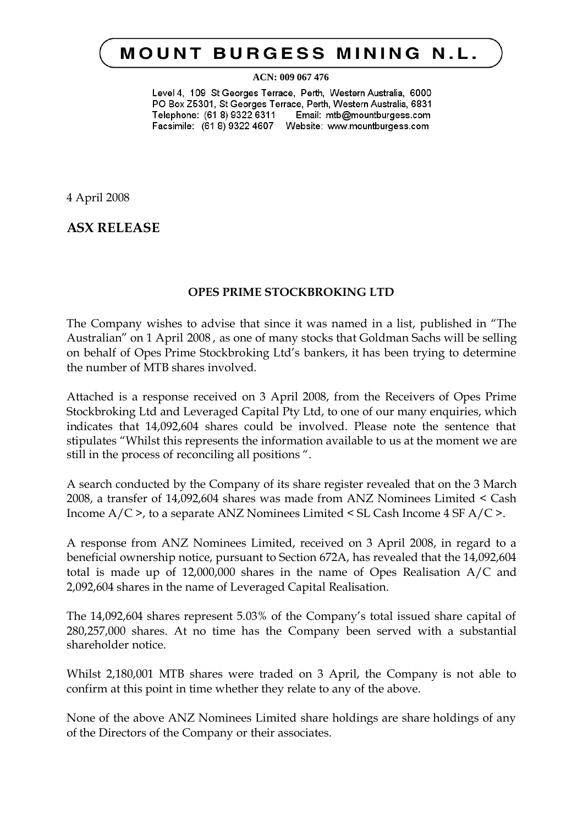## **MOUNT BURGESS MINING N.L.**

## **ACN: 009 067 476**

Level 4, 109 St Georges Terrace, Perth, Western Australia, 6000 PO Box Z5301, St Georges Terrace, Perth, Western Australia, 6831 Telephone: (61 8) 9322 6311 Email: mtb@mountburgess.com Facsimile: (61 8) 9322 4607 Website: www.mountburgess.com

4 April 2008

**ASX RELEASE**

## **OPES PRIME STOCKBROKING LTD**

The Company wishes to advise that since it was named in a list, published in "The Australian" on 1 April 2008 , as one of many stocks that Goldman Sachs will be selling on behalf of Opes Prime Stockbroking Ltd's bankers, it has been trying to determine the number of MTB shares involved.

Attached is a response received on 3 April 2008, from the Receivers of Opes Prime Stockbroking Ltd and Leveraged Capital Pty Ltd, to one of our many enquiries, which indicates that 14,092,604 shares could be involved. Please note the sentence that stipulates "Whilst this represents the information available to us at the moment we are still in the process of reconciling all positions ".

A search conducted by the Company of its share register revealed that on the 3 March 2008, a transfer of 14,092,604 shares was made from ANZ Nominees Limited < Cash Income A/C >, to a separate ANZ Nominees Limited < SL Cash Income 4 SF A/C >.

A response from ANZ Nominees Limited, received on 3 April 2008, in regard to a beneficial ownership notice, pursuant to Section 672A, has revealed that the 14,092,604 total is made up of 12,000,000 shares in the name of Opes Realisation A/C and 2,092,604 shares in the name of Leveraged Capital Realisation.

The 14,092,604 shares represent 5.03% of the Company's total issued share capital of 280,257,000 shares. At no time has the Company been served with a substantial shareholder notice.

Whilst 2,180,001 MTB shares were traded on 3 April, the Company is not able to confirm at this point in time whether they relate to any of the above.

None of the above ANZ Nominees Limited share holdings are share holdings of any of the Directors of the Company or their associates.